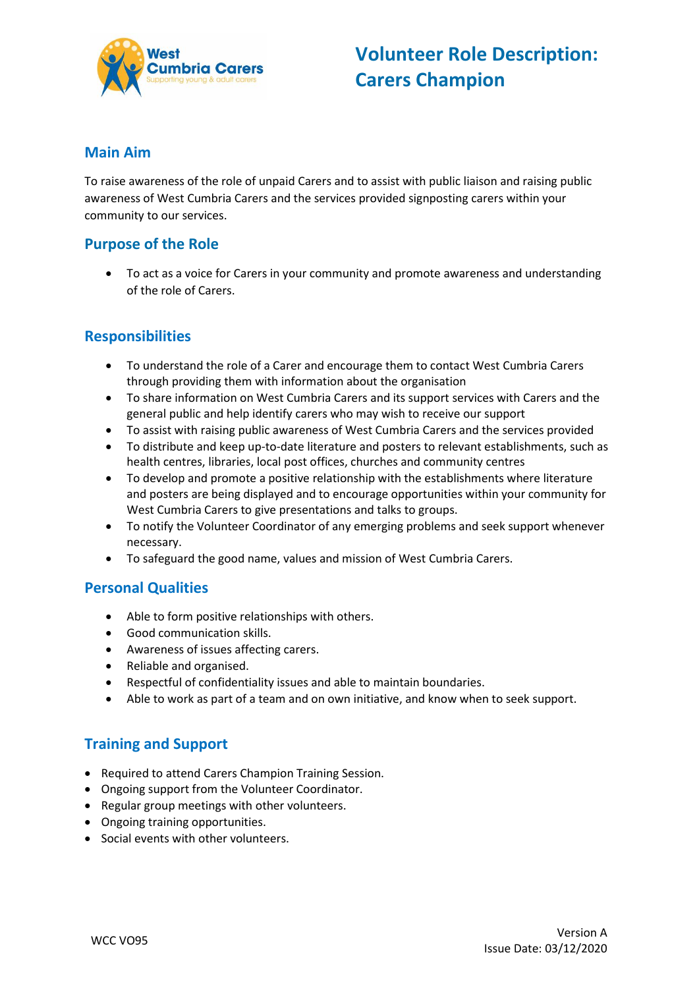

### **Main Aim**

To raise awareness of the role of unpaid Carers and to assist with public liaison and raising public awareness of West Cumbria Carers and the services provided signposting carers within your community to our services.

## **Purpose of the Role**

 To act as a voice for Carers in your community and promote awareness and understanding of the role of Carers.

## **Responsibilities**

- To understand the role of a Carer and encourage them to contact West Cumbria Carers through providing them with information about the organisation
- To share information on West Cumbria Carers and its support services with Carers and the general public and help identify carers who may wish to receive our support
- To assist with raising public awareness of West Cumbria Carers and the services provided
- To distribute and keep up-to-date literature and posters to relevant establishments, such as health centres, libraries, local post offices, churches and community centres
- To develop and promote a positive relationship with the establishments where literature and posters are being displayed and to encourage opportunities within your community for West Cumbria Carers to give presentations and talks to groups.
- To notify the Volunteer Coordinator of any emerging problems and seek support whenever necessary.
- To safeguard the good name, values and mission of West Cumbria Carers.

#### **Personal Qualities**

- Able to form positive relationships with others.
- Good communication skills.
- Awareness of issues affecting carers.
- Reliable and organised.
- Respectful of confidentiality issues and able to maintain boundaries.
- Able to work as part of a team and on own initiative, and know when to seek support.

# **Training and Support**

- Required to attend Carers Champion Training Session.
- Ongoing support from the Volunteer Coordinator.
- Regular group meetings with other volunteers.
- Ongoing training opportunities.
- Social events with other volunteers.